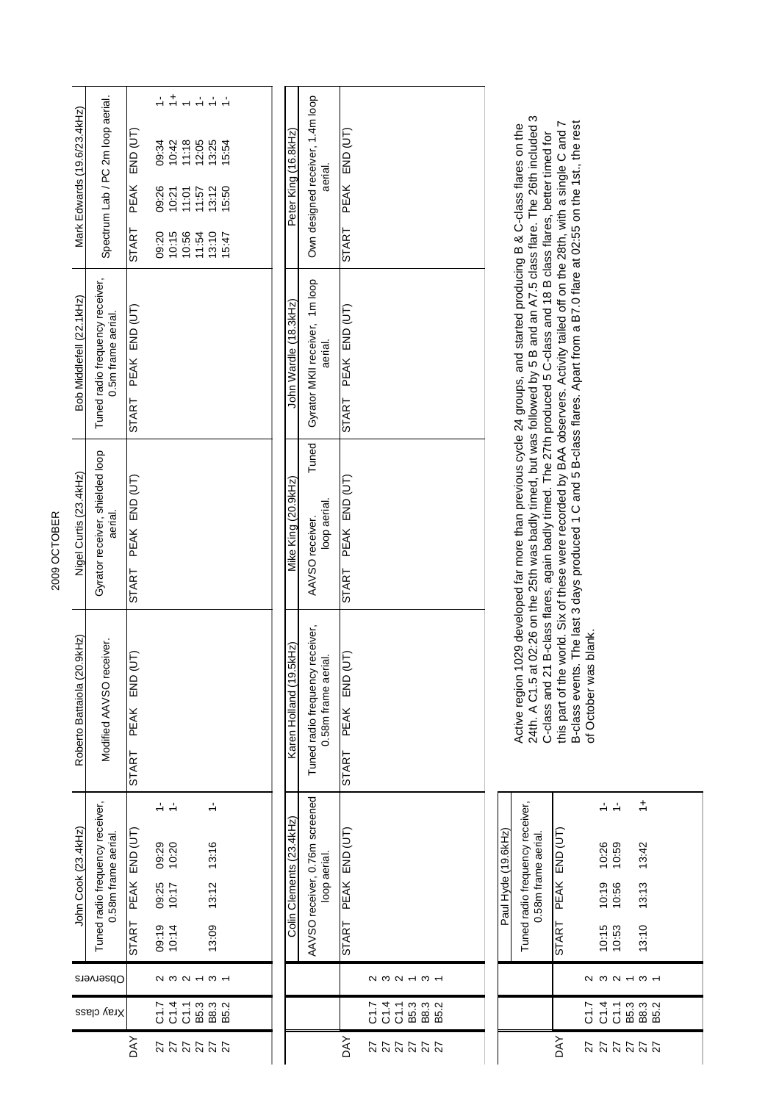2009 OCTOBER 2009 OCTOBER

| Paul Hyde (19.6kHz) | Tuned radio frequency receiver,<br>0.58m frame aerial. |                     |                  |          |                        | $\ddot{ }$ |      |  |
|---------------------|--------------------------------------------------------|---------------------|------------------|----------|------------------------|------------|------|--|
|                     |                                                        | START PEAK END (UT) |                  | 10:26    | 10:59                  | 13:42      |      |  |
|                     |                                                        |                     |                  | 10:19    | 10:56                  | 13:13      |      |  |
|                     |                                                        |                     |                  | 10:15    | 10:53                  | 13:10      |      |  |
|                     |                                                        |                     | $\mathbf \Omega$ | ო        | $\sim$                 | ო          |      |  |
|                     |                                                        |                     | <b>C1.7</b>      | C1.4     | B5.3<br>$\overline{c}$ | B8.3       | B5.2 |  |
|                     |                                                        | DAY                 | 27               | 27<br>27 | 27                     | 27         | 27   |  |

Active region 1029 developed far more than previous cycle 24 groups, and started producing B & C-class flares on the<br>24th. A C1.5 at 02:26 on the 25th was badly timed, but was followed by 5 B and an A7.5 class flare. The 2 24th. A C1.5 at 02:26 on the 25th was badly timed, but was followed by 5 B and an A7.5 class flare. The 26th included 3 this part of the world. Six of these were recorded by BAA observers. Activity tailed off on the 28th, with a single C and 7 B-class events. The last 3 days produced 1 C and 5 B-class flares. Apart from a B7.0 flare at 02:55 on the 1st., the rest B-class events. The last 3 days produced 1 C and 5 B-class flares. Apart from a B7.0 flare at 02:55 on the 1st., the rest Active region 1029 developed far more than previous cycle 24 groups, and started producing B & C-class flares on the C-class and 21 B-class flares, again badly timed. The 27th produced 5 C-class and 18 B class flares, better timed for of October was blank. of October was blank.